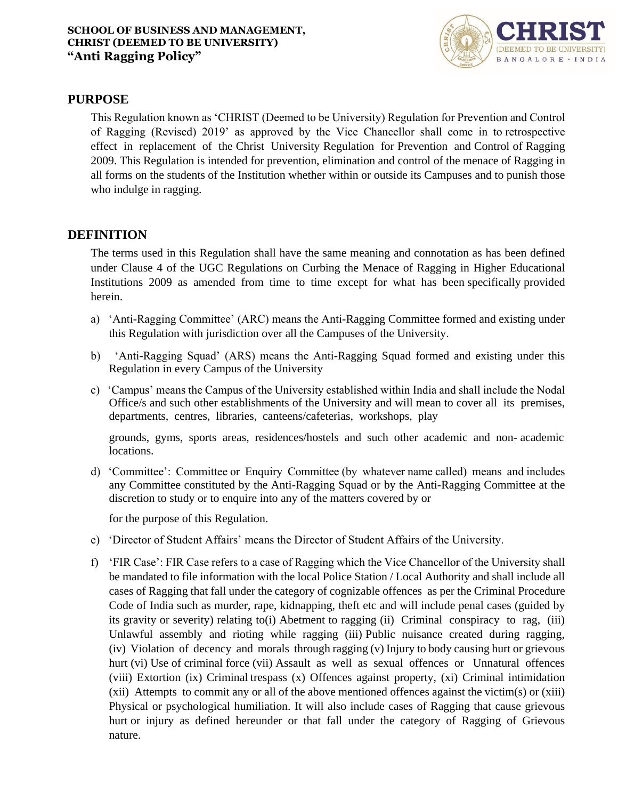

# **PURPOSE**

This Regulation known as 'CHRIST (Deemed to be University) Regulation for Prevention and Control of Ragging (Revised) 2019' as approved by the Vice Chancellor shall come in to retrospective effect in replacement of the Christ University Regulation for Prevention and Control of Ragging 2009. This Regulation is intended for prevention, elimination and control of the menace of Ragging in all forms on the students of the Institution whether within or outside its Campuses and to punish those who indulge in ragging.

# **DEFINITION**

The terms used in this Regulation shall have the same meaning and connotation as has been defined under Clause 4 of the UGC Regulations on Curbing the Menace of Ragging in Higher Educational Institutions 2009 as amended from time to time except for what has been specifically provided herein.

- a) 'Anti-Ragging Committee' (ARC) means the Anti-Ragging Committee formed and existing under this Regulation with jurisdiction over all the Campuses of the University.
- b) 'Anti-Ragging Squad' (ARS) means the Anti-Ragging Squad formed and existing under this Regulation in every Campus of the University
- c) 'Campus' means the Campus of the University established within India and shall include the Nodal Office/s and such other establishments of the University and will mean to cover all its premises, departments, centres, libraries, canteens/cafeterias, workshops, play

grounds, gyms, sports areas, residences/hostels and such other academic and non- academic locations.

d) 'Committee': Committee or Enquiry Committee (by whatever name called) means and includes any Committee constituted by the Anti-Ragging Squad or by the Anti-Ragging Committee at the discretion to study or to enquire into any of the matters covered by or

for the purpose of this Regulation.

- e) 'Director of Student Affairs' means the Director of Student Affairs of the University.
- f) 'FIR Case': FIR Case refers to a case of Ragging which the Vice Chancellor of the University shall be mandated to file information with the local Police Station / Local Authority and shall include all cases of Ragging that fall under the category of cognizable offences as per the Criminal Procedure Code of India such as murder, rape, kidnapping, theft etc and will include penal cases (guided by its gravity or severity) relating to(i) Abetment to ragging (ii) Criminal conspiracy to rag, (iii) Unlawful assembly and rioting while ragging (iii) Public nuisance created during ragging, (iv) Violation of decency and morals through ragging (v) Injury to body causing hurt or grievous hurt (vi) Use of criminal force (vii) Assault as well as sexual offences or Unnatural offences (viii) Extortion (ix) Criminal trespass (x) Offences against property, (xi) Criminal intimidation (xii) Attempts to commit any or all of the above mentioned offences against the victim(s) or (xiii) Physical or psychological humiliation. It will also include cases of Ragging that cause grievous hurt or injury as defined hereunder or that fall under the category of Ragging of Grievous nature.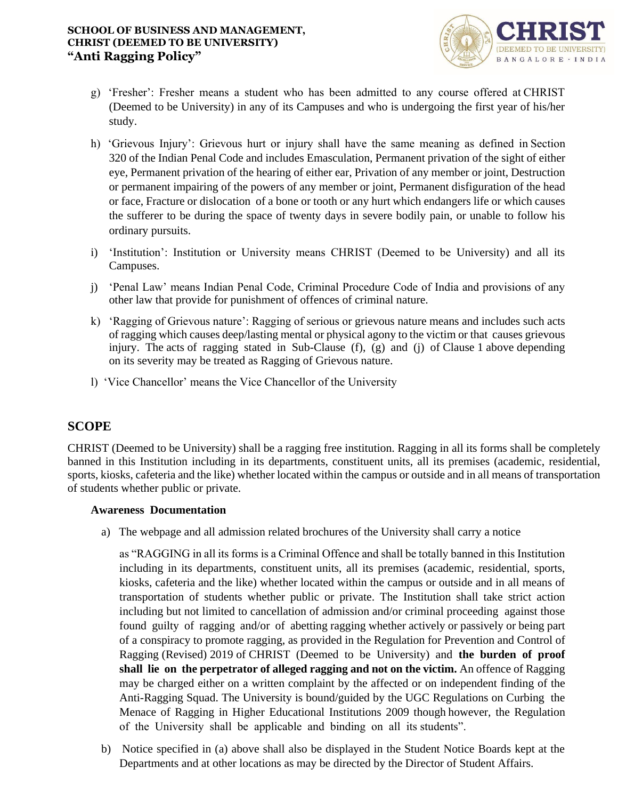

- g) 'Fresher': Fresher means a student who has been admitted to any course offered at CHRIST (Deemed to be University) in any of its Campuses and who is undergoing the first year of his/her study.
- h) 'Grievous Injury': Grievous hurt or injury shall have the same meaning as defined in Section 320 of the Indian Penal Code and includes Emasculation, Permanent privation of the sight of either eye, Permanent privation of the hearing of either ear, Privation of any member or joint, Destruction or permanent impairing of the powers of any member or joint, Permanent disfiguration of the head or face, Fracture or dislocation of a bone or tooth or any hurt which endangers life or which causes the sufferer to be during the space of twenty days in severe bodily pain, or unable to follow his ordinary pursuits.
- i) 'Institution': Institution or University means CHRIST (Deemed to be University) and all its Campuses.
- j) 'Penal Law' means Indian Penal Code, Criminal Procedure Code of India and provisions of any other law that provide for punishment of offences of criminal nature.
- k) 'Ragging of Grievous nature': Ragging of serious or grievous nature means and includes such acts of ragging which causes deep/lasting mental or physical agony to the victim or that causes grievous injury. The acts of ragging stated in Sub-Clause (f), (g) and (j) of Clause 1 above depending on its severity may be treated as Ragging of Grievous nature.
- l) 'Vice Chancellor' means the Vice Chancellor of the University

# **SCOPE**

CHRIST (Deemed to be University) shall be a ragging free institution. Ragging in all its forms shall be completely banned in this Institution including in its departments, constituent units, all its premises (academic, residential, sports, kiosks, cafeteria and the like) whether located within the campus or outside and in all means of transportation of students whether public or private.

# **Awareness Documentation**

a) The webpage and all admission related brochures of the University shall carry a notice

as "RAGGING in all its forms is a Criminal Offence and shall be totally banned in this Institution including in its departments, constituent units, all its premises (academic, residential, sports, kiosks, cafeteria and the like) whether located within the campus or outside and in all means of transportation of students whether public or private. The Institution shall take strict action including but not limited to cancellation of admission and/or criminal proceeding against those found guilty of ragging and/or of abetting ragging whether actively or passively or being part of a conspiracy to promote ragging, as provided in the Regulation for Prevention and Control of Ragging (Revised) 2019 of CHRIST (Deemed to be University) and **the burden of proof shall lie on the perpetrator of alleged ragging and not on the victim.** An offence of Ragging may be charged either on a written complaint by the affected or on independent finding of the Anti-Ragging Squad. The University is bound/guided by the UGC Regulations on Curbing the Menace of Ragging in Higher Educational Institutions 2009 though however, the Regulation of the University shall be applicable and binding on all its students".

b) Notice specified in (a) above shall also be displayed in the Student Notice Boards kept at the Departments and at other locations as may be directed by the Director of Student Affairs.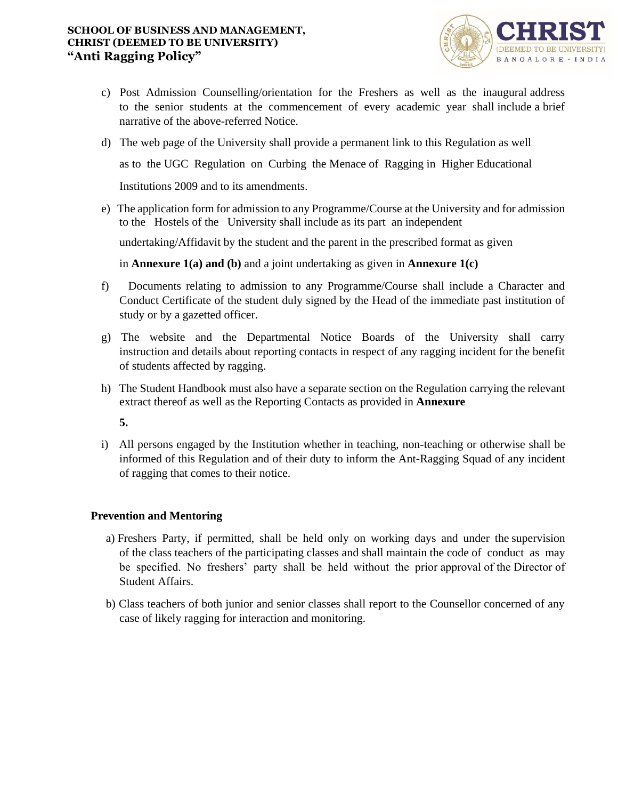

- c) Post Admission Counselling/orientation for the Freshers as well as the inaugural address to the senior students at the commencement of every academic year shall include a brief narrative of the above-referred Notice.
- d) The web page of the University shall provide a permanent link to this Regulation as well

as to the UGC Regulation on Curbing the Menace of Ragging in Higher Educational

Institutions 2009 and to its amendments.

e) The application form for admission to any Programme/Course at the University and for admission to the Hostels of the University shall include as its part an independent

undertaking/Affidavit by the student and the parent in the prescribed format as given

in **Annexure 1(a) and (b)** and a joint undertaking as given in **Annexure 1(c)**

- f) Documents relating to admission to any Programme/Course shall include a Character and Conduct Certificate of the student duly signed by the Head of the immediate past institution of study or by a gazetted officer.
- g) The website and the Departmental Notice Boards of the University shall carry instruction and details about reporting contacts in respect of any ragging incident for the benefit of students affected by ragging.
- h) The Student Handbook must also have a separate section on the Regulation carrying the relevant extract thereof as well as the Reporting Contacts as provided in **Annexure**

**5.**

i) All persons engaged by the Institution whether in teaching, non-teaching or otherwise shall be informed of this Regulation and of their duty to inform the Ant-Ragging Squad of any incident of ragging that comes to their notice.

# **Prevention and Mentoring**

- a) Freshers Party, if permitted, shall be held only on working days and under the supervision of the class teachers of the participating classes and shall maintain the code of conduct as may be specified. No freshers' party shall be held without the prior approval of the Director of Student Affairs.
- b) Class teachers of both junior and senior classes shall report to the Counsellor concerned of any case of likely ragging for interaction and monitoring.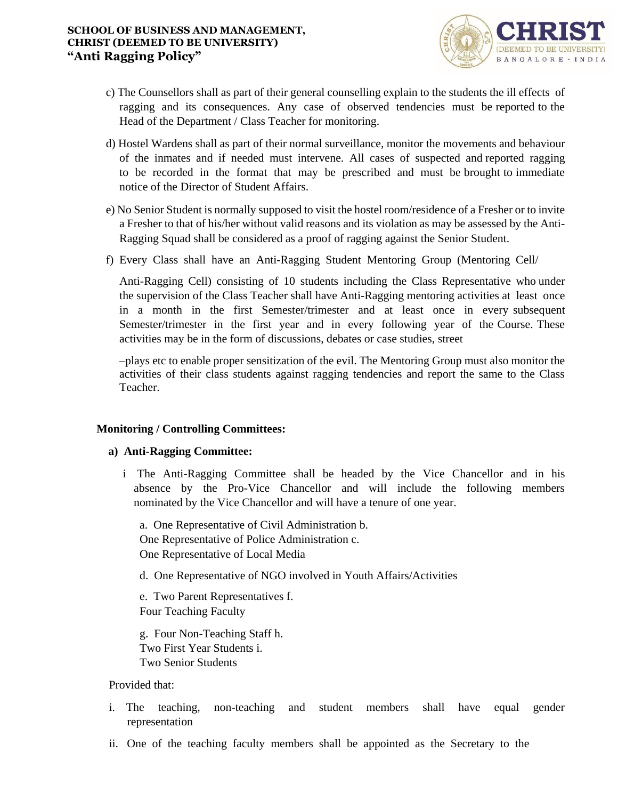

- c) The Counsellors shall as part of their general counselling explain to the students the ill effects of ragging and its consequences. Any case of observed tendencies must be reported to the Head of the Department / Class Teacher for monitoring.
- d) Hostel Wardens shall as part of their normal surveillance, monitor the movements and behaviour of the inmates and if needed must intervene. All cases of suspected and reported ragging to be recorded in the format that may be prescribed and must be brought to immediate notice of the Director of Student Affairs.
- e) No Senior Student is normally supposed to visit the hostel room/residence of a Fresher or to invite a Fresher to that of his/her without valid reasons and its violation as may be assessed by the Anti-Ragging Squad shall be considered as a proof of ragging against the Senior Student.
- f) Every Class shall have an Anti-Ragging Student Mentoring Group (Mentoring Cell/

Anti-Ragging Cell) consisting of 10 students including the Class Representative who under the supervision of the Class Teacher shall have Anti-Ragging mentoring activities at least once in a month in the first Semester/trimester and at least once in every subsequent Semester/trimester in the first year and in every following year of the Course. These activities may be in the form of discussions, debates or case studies, street

–plays etc to enable proper sensitization of the evil. The Mentoring Group must also monitor the activities of their class students against ragging tendencies and report the same to the Class Teacher.

# **Monitoring / Controlling Committees:**

# **a) Anti-Ragging Committee:**

i The Anti-Ragging Committee shall be headed by the Vice Chancellor and in his absence by the Pro-Vice Chancellor and will include the following members nominated by the Vice Chancellor and will have a tenure of one year.

a. One Representative of Civil Administration b. One Representative of Police Administration c. One Representative of Local Media

d. One Representative of NGO involved in Youth Affairs/Activities

e. Two Parent Representatives f. Four Teaching Faculty

g. Four Non-Teaching Staff h. Two First Year Students i. Two Senior Students

# Provided that:

- i. The teaching, non-teaching and student members shall have equal gender representation
- ii. One of the teaching faculty members shall be appointed as the Secretary to the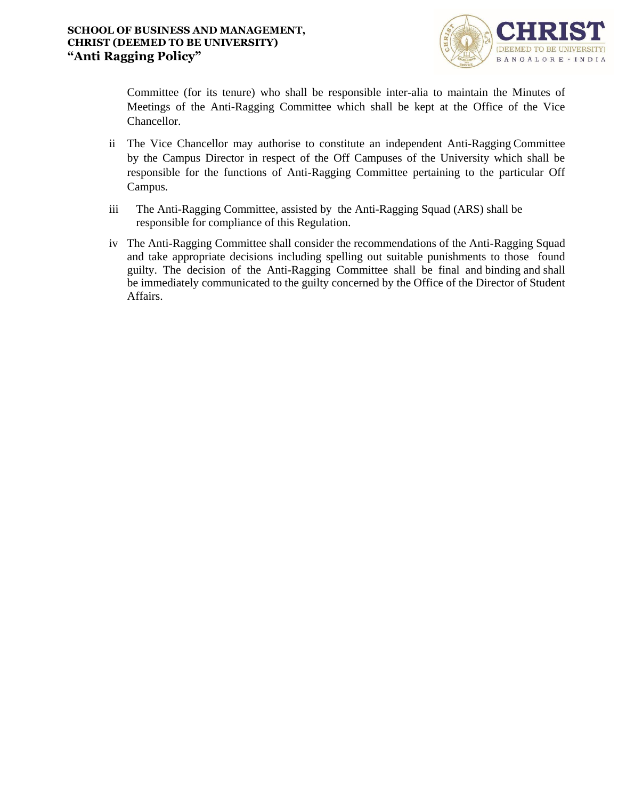

Committee (for its tenure) who shall be responsible inter-alia to maintain the Minutes of Meetings of the Anti-Ragging Committee which shall be kept at the Office of the Vice Chancellor.

- ii The Vice Chancellor may authorise to constitute an independent Anti-Ragging Committee by the Campus Director in respect of the Off Campuses of the University which shall be responsible for the functions of Anti-Ragging Committee pertaining to the particular Off Campus.
- iii The Anti-Ragging Committee, assisted by the Anti-Ragging Squad (ARS) shall be responsible for compliance of this Regulation.
- iv The Anti-Ragging Committee shall consider the recommendations of the Anti-Ragging Squad and take appropriate decisions including spelling out suitable punishments to those found guilty. The decision of the Anti-Ragging Committee shall be final and binding and shall be immediately communicated to the guilty concerned by the Office of the Director of Student Affairs.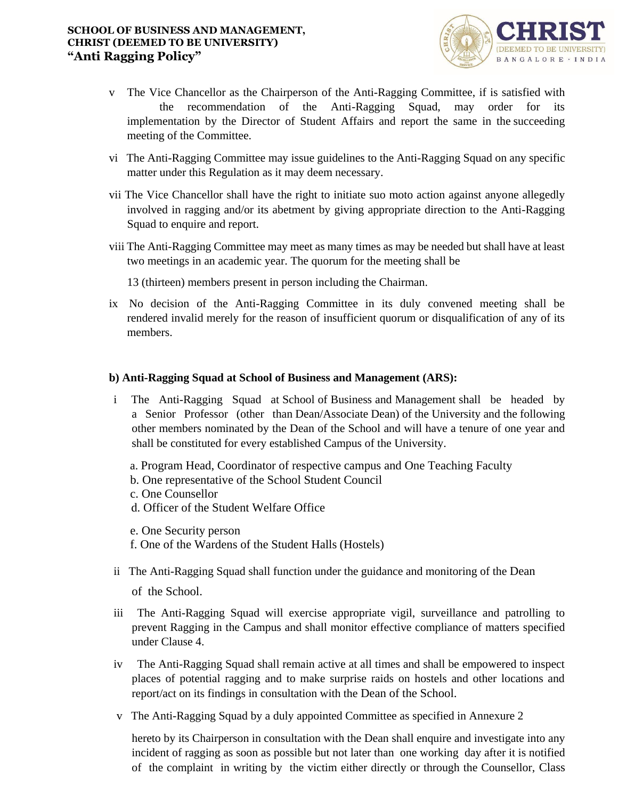

- v The Vice Chancellor as the Chairperson of the Anti-Ragging Committee, if is satisfied with the recommendation of the Anti-Ragging Squad, may order for its implementation by the Director of Student Affairs and report the same in the succeeding meeting of the Committee.
- vi The Anti-Ragging Committee may issue guidelines to the Anti-Ragging Squad on any specific matter under this Regulation as it may deem necessary.
- vii The Vice Chancellor shall have the right to initiate suo moto action against anyone allegedly involved in ragging and/or its abetment by giving appropriate direction to the Anti-Ragging Squad to enquire and report.
- viii The Anti-Ragging Committee may meet as many times as may be needed but shall have at least two meetings in an academic year. The quorum for the meeting shall be

13 (thirteen) members present in person including the Chairman.

ix No decision of the Anti-Ragging Committee in its duly convened meeting shall be rendered invalid merely for the reason of insufficient quorum or disqualification of any of its members.

# **b) Anti-Ragging Squad at School of Business and Management (ARS):**

- i The Anti-Ragging Squad at School of Business and Management shall be headed by a Senior Professor (other than Dean/Associate Dean) of the University and the following other members nominated by the Dean of the School and will have a tenure of one year and shall be constituted for every established Campus of the University.
	- a. Program Head, Coordinator of respective campus and One Teaching Faculty
	- b. One representative of the School Student Council
	- c. One Counsellor
	- d. Officer of the Student Welfare Office
	- e. One Security person
	- f. One of the Wardens of the Student Halls (Hostels)
- ii The Anti-Ragging Squad shall function under the guidance and monitoring of the Dean

of the School.

- iii The Anti-Ragging Squad will exercise appropriate vigil, surveillance and patrolling to prevent Ragging in the Campus and shall monitor effective compliance of matters specified under Clause 4.
- iv The Anti-Ragging Squad shall remain active at all times and shall be empowered to inspect places of potential ragging and to make surprise raids on hostels and other locations and report/act on its findings in consultation with the Dean of the School.
- v The Anti-Ragging Squad by a duly appointed Committee as specified in Annexure 2

hereto by its Chairperson in consultation with the Dean shall enquire and investigate into any incident of ragging as soon as possible but not later than one working day after it is notified of the complaint in writing by the victim either directly or through the Counsellor, Class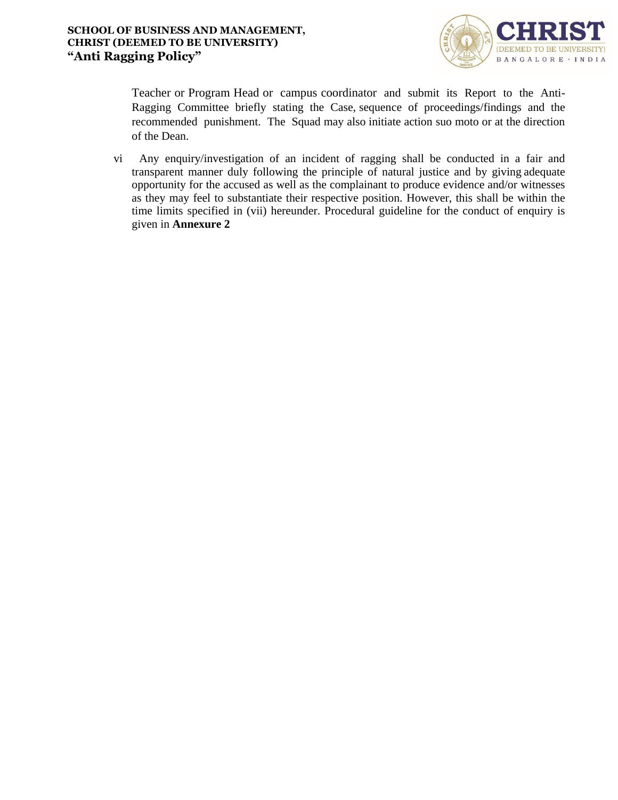

Teacher or Program Head or campus coordinator and submit its Report to the Anti-Ragging Committee briefly stating the Case, sequence of proceedings/findings and the recommended punishment. The Squad may also initiate action suo moto or at the direction of the Dean.

vi Any enquiry/investigation of an incident of ragging shall be conducted in a fair and transparent manner duly following the principle of natural justice and by giving adequate opportunity for the accused as well as the complainant to produce evidence and/or witnesses as they may feel to substantiate their respective position. However, this shall be within the time limits specified in (vii) hereunder. Procedural guideline for the conduct of enquiry is given in **Annexure 2**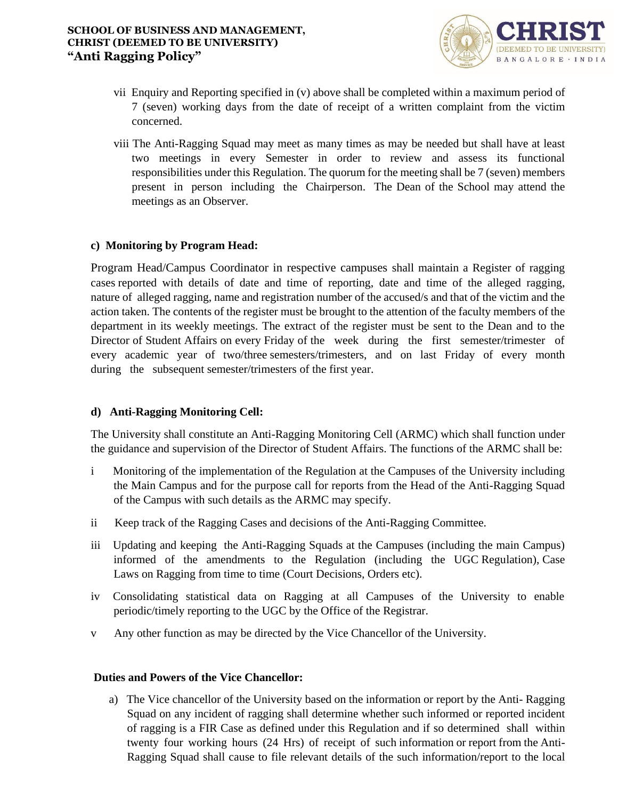

- vii Enquiry and Reporting specified in (v) above shall be completed within a maximum period of 7 (seven) working days from the date of receipt of a written complaint from the victim concerned.
- viii The Anti-Ragging Squad may meet as many times as may be needed but shall have at least two meetings in every Semester in order to review and assess its functional responsibilities under this Regulation. The quorum for the meeting shall be 7 (seven) members present in person including the Chairperson. The Dean of the School may attend the meetings as an Observer.

# **c) Monitoring by Program Head:**

Program Head/Campus Coordinator in respective campuses shall maintain a Register of ragging cases reported with details of date and time of reporting, date and time of the alleged ragging, nature of alleged ragging, name and registration number of the accused/s and that of the victim and the action taken. The contents of the register must be brought to the attention of the faculty members of the department in its weekly meetings. The extract of the register must be sent to the Dean and to the Director of Student Affairs on every Friday of the week during the first semester/trimester of every academic year of two/three semesters/trimesters, and on last Friday of every month during the subsequent semester/trimesters of the first year.

# **d) Anti-Ragging Monitoring Cell:**

The University shall constitute an Anti-Ragging Monitoring Cell (ARMC) which shall function under the guidance and supervision of the Director of Student Affairs. The functions of the ARMC shall be:

- i Monitoring of the implementation of the Regulation at the Campuses of the University including the Main Campus and for the purpose call for reports from the Head of the Anti-Ragging Squad of the Campus with such details as the ARMC may specify.
- ii Keep track of the Ragging Cases and decisions of the Anti-Ragging Committee.
- iii Updating and keeping the Anti-Ragging Squads at the Campuses (including the main Campus) informed of the amendments to the Regulation (including the UGC Regulation), Case Laws on Ragging from time to time (Court Decisions, Orders etc).
- iv Consolidating statistical data on Ragging at all Campuses of the University to enable periodic/timely reporting to the UGC by the Office of the Registrar.
- v Any other function as may be directed by the Vice Chancellor of the University.

# **Duties and Powers of the Vice Chancellor:**

a) The Vice chancellor of the University based on the information or report by the Anti- Ragging Squad on any incident of ragging shall determine whether such informed or reported incident of ragging is a FIR Case as defined under this Regulation and if so determined shall within twenty four working hours (24 Hrs) of receipt of such information or report from the Anti-Ragging Squad shall cause to file relevant details of the such information/report to the local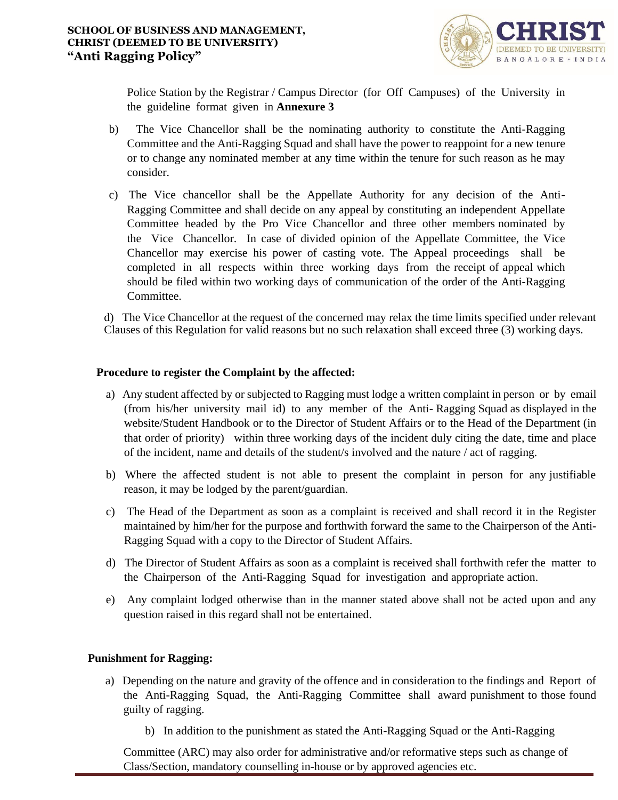

Police Station by the Registrar / Campus Director (for Off Campuses) of the University in the guideline format given in **Annexure 3**

- b) The Vice Chancellor shall be the nominating authority to constitute the Anti-Ragging Committee and the Anti-Ragging Squad and shall have the power to reappoint for a new tenure or to change any nominated member at any time within the tenure for such reason as he may consider.
- c) The Vice chancellor shall be the Appellate Authority for any decision of the Anti-Ragging Committee and shall decide on any appeal by constituting an independent Appellate Committee headed by the Pro Vice Chancellor and three other members nominated by the Vice Chancellor. In case of divided opinion of the Appellate Committee, the Vice Chancellor may exercise his power of casting vote. The Appeal proceedings shall be completed in all respects within three working days from the receipt of appeal which should be filed within two working days of communication of the order of the Anti-Ragging Committee.

d) The Vice Chancellor at the request of the concerned may relax the time limits specified under relevant Clauses of this Regulation for valid reasons but no such relaxation shall exceed three (3) working days.

# **Procedure to register the Complaint by the affected:**

- a) Any student affected by or subjected to Ragging must lodge a written complaint in person or by email (from his/her university mail id) to any member of the Anti- Ragging Squad as displayed in the website/Student Handbook or to the Director of Student Affairs or to the Head of the Department (in that order of priority) within three working days of the incident duly citing the date, time and place of the incident, name and details of the student/s involved and the nature / act of ragging.
- b) Where the affected student is not able to present the complaint in person for any justifiable reason, it may be lodged by the parent/guardian.
- c) The Head of the Department as soon as a complaint is received and shall record it in the Register maintained by him/her for the purpose and forthwith forward the same to the Chairperson of the Anti-Ragging Squad with a copy to the Director of Student Affairs.
- d) The Director of Student Affairs as soon as a complaint is received shall forthwith refer the matter to the Chairperson of the Anti-Ragging Squad for investigation and appropriate action.
- e) Any complaint lodged otherwise than in the manner stated above shall not be acted upon and any question raised in this regard shall not be entertained.

# **Punishment for Ragging:**

- a) Depending on the nature and gravity of the offence and in consideration to the findings and Report of the Anti-Ragging Squad, the Anti-Ragging Committee shall award punishment to those found guilty of ragging.
	- b) In addition to the punishment as stated the Anti-Ragging Squad or the Anti-Ragging

Committee (ARC) may also order for administrative and/or reformative steps such as change of Class/Section, mandatory counselling in-house or by approved agencies etc.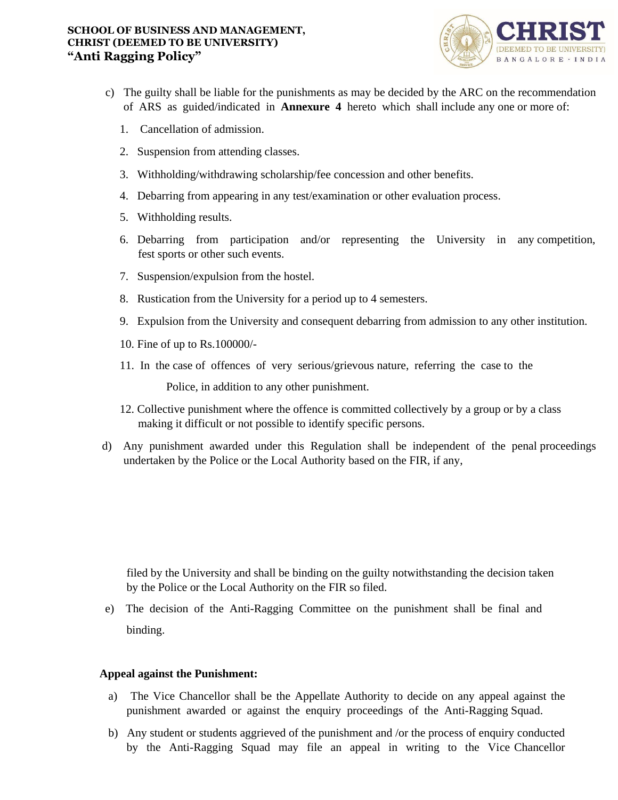

- c) The guilty shall be liable for the punishments as may be decided by the ARC on the recommendation of ARS as guided/indicated in **Annexure 4** hereto which shall include any one or more of:
	- 1. Cancellation of admission.
	- 2. Suspension from attending classes.
	- 3. Withholding/withdrawing scholarship/fee concession and other benefits.
	- 4. Debarring from appearing in any test/examination or other evaluation process.
	- 5. Withholding results.
	- 6. Debarring from participation and/or representing the University in any competition, fest sports or other such events.
	- 7. Suspension/expulsion from the hostel.
	- 8. Rustication from the University for a period up to 4 semesters.
	- 9. Expulsion from the University and consequent debarring from admission to any other institution.
	- 10. Fine of up to Rs.100000/-
	- 11. In the case of offences of very serious/grievous nature, referring the case to the

Police, in addition to any other punishment.

- 12. Collective punishment where the offence is committed collectively by a group or by a class making it difficult or not possible to identify specific persons.
- d) Any punishment awarded under this Regulation shall be independent of the penal proceedings undertaken by the Police or the Local Authority based on the FIR, if any,

filed by the University and shall be binding on the guilty notwithstanding the decision taken by the Police or the Local Authority on the FIR so filed.

e) The decision of the Anti-Ragging Committee on the punishment shall be final and binding.

# **Appeal against the Punishment:**

- a) The Vice Chancellor shall be the Appellate Authority to decide on any appeal against the punishment awarded or against the enquiry proceedings of the Anti-Ragging Squad.
- b) Any student or students aggrieved of the punishment and /or the process of enquiry conducted by the Anti-Ragging Squad may file an appeal in writing to the Vice Chancellor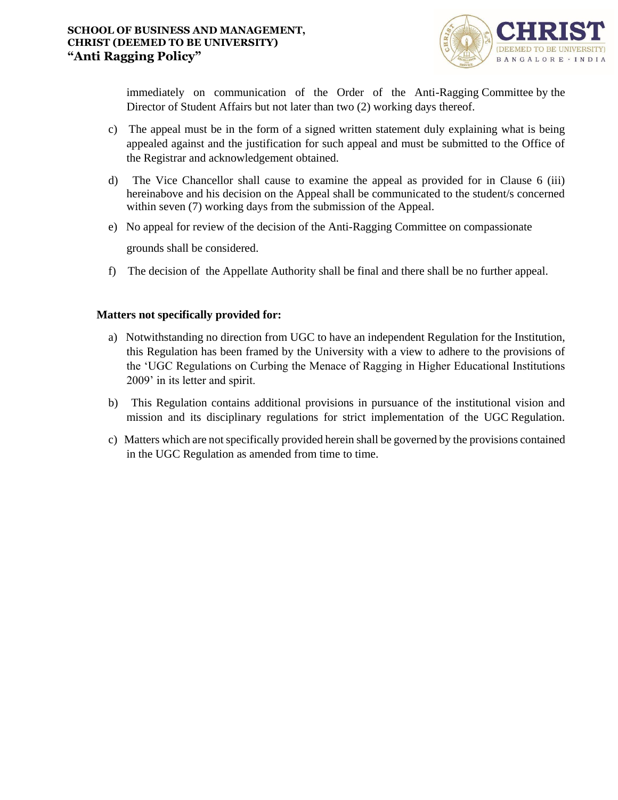

immediately on communication of the Order of the Anti-Ragging Committee by the Director of Student Affairs but not later than two (2) working days thereof.

- c) The appeal must be in the form of a signed written statement duly explaining what is being appealed against and the justification for such appeal and must be submitted to the Office of the Registrar and acknowledgement obtained.
- d) The Vice Chancellor shall cause to examine the appeal as provided for in Clause 6 (iii) hereinabove and his decision on the Appeal shall be communicated to the student/s concerned within seven (7) working days from the submission of the Appeal.
- e) No appeal for review of the decision of the Anti-Ragging Committee on compassionate grounds shall be considered.
- f) The decision of the Appellate Authority shall be final and there shall be no further appeal.

# **Matters not specifically provided for:**

- a) Notwithstanding no direction from UGC to have an independent Regulation for the Institution, this Regulation has been framed by the University with a view to adhere to the provisions of the 'UGC Regulations on Curbing the Menace of Ragging in Higher Educational Institutions 2009' in its letter and spirit.
- b) This Regulation contains additional provisions in pursuance of the institutional vision and mission and its disciplinary regulations for strict implementation of the UGC Regulation.
- c) Matters which are not specifically provided herein shall be governed by the provisions contained in the UGC Regulation as amended from time to time.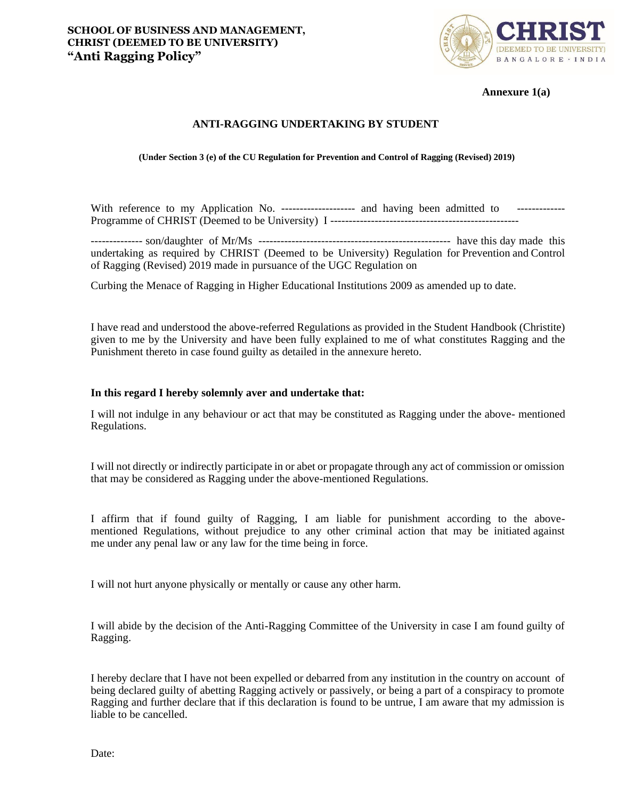

**Annexure 1(a)**

#### **ANTI-RAGGING UNDERTAKING BY STUDENT**

**(Under Section 3 (e) of the CU Regulation for Prevention and Control of Ragging (Revised) 2019)**

With reference to my Application No. -------------------- and having been admitted to --------------Programme of CHRIST (Deemed to be University) I ---------------------------------------------------

-------------- son/daughter of Mr/Ms ---------------------------------------------------- have this day made this undertaking as required by CHRIST (Deemed to be University) Regulation for Prevention and Control of Ragging (Revised) 2019 made in pursuance of the UGC Regulation on

Curbing the Menace of Ragging in Higher Educational Institutions 2009 as amended up to date.

I have read and understood the above-referred Regulations as provided in the Student Handbook (Christite) given to me by the University and have been fully explained to me of what constitutes Ragging and the Punishment thereto in case found guilty as detailed in the annexure hereto.

#### **In this regard I hereby solemnly aver and undertake that:**

I will not indulge in any behaviour or act that may be constituted as Ragging under the above- mentioned Regulations.

I will not directly or indirectly participate in or abet or propagate through any act of commission or omission that may be considered as Ragging under the above-mentioned Regulations.

I affirm that if found guilty of Ragging, I am liable for punishment according to the abovementioned Regulations, without prejudice to any other criminal action that may be initiated against me under any penal law or any law for the time being in force.

I will not hurt anyone physically or mentally or cause any other harm.

I will abide by the decision of the Anti-Ragging Committee of the University in case I am found guilty of Ragging.

I hereby declare that I have not been expelled or debarred from any institution in the country on account of being declared guilty of abetting Ragging actively or passively, or being a part of a conspiracy to promote Ragging and further declare that if this declaration is found to be untrue, I am aware that my admission is liable to be cancelled.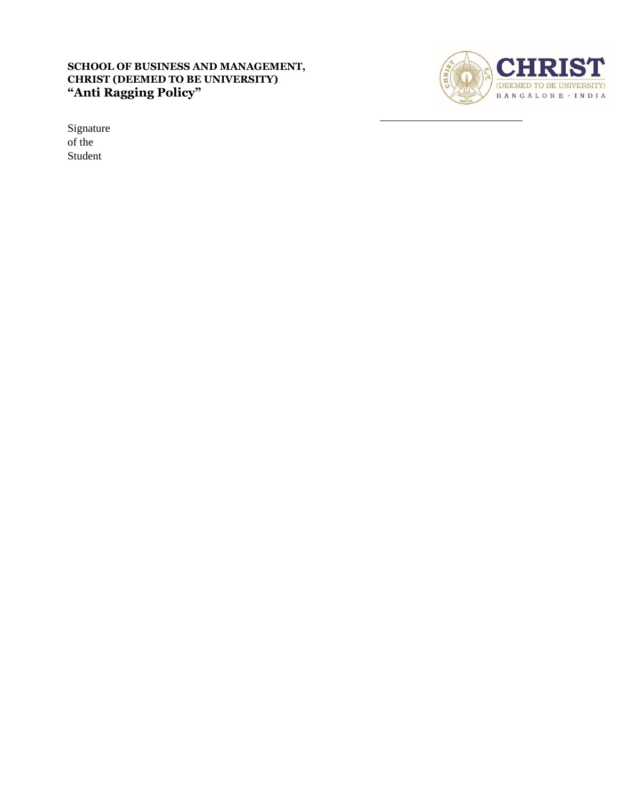

Signature of the Student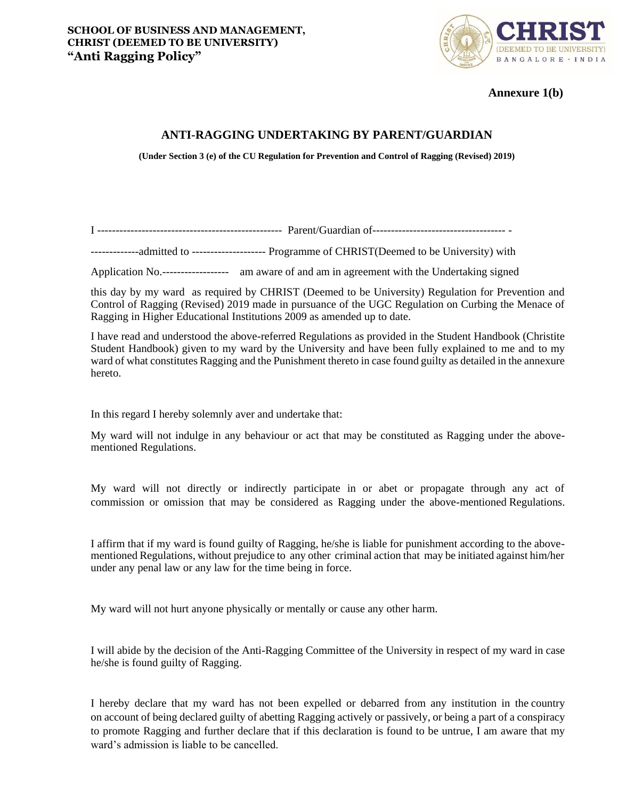

**Annexure 1(b)**

# **ANTI-RAGGING UNDERTAKING BY PARENT/GUARDIAN**

**(Under Section 3 (e) of the CU Regulation for Prevention and Control of Ragging (Revised) 2019)**

I -------------------------------------------------- Parent/Guardian of------------------------------------ -

-------------admitted to -------------------- Programme of CHRIST(Deemed to be University) with

Application No.------------------ am aware of and am in agreement with the Undertaking signed

this day by my ward as required by CHRIST (Deemed to be University) Regulation for Prevention and Control of Ragging (Revised) 2019 made in pursuance of the UGC Regulation on Curbing the Menace of Ragging in Higher Educational Institutions 2009 as amended up to date.

I have read and understood the above-referred Regulations as provided in the Student Handbook (Christite Student Handbook) given to my ward by the University and have been fully explained to me and to my ward of what constitutes Ragging and the Punishment thereto in case found guilty as detailed in the annexure hereto.

In this regard I hereby solemnly aver and undertake that:

My ward will not indulge in any behaviour or act that may be constituted as Ragging under the abovementioned Regulations.

My ward will not directly or indirectly participate in or abet or propagate through any act of commission or omission that may be considered as Ragging under the above-mentioned Regulations.

I affirm that if my ward is found guilty of Ragging, he/she is liable for punishment according to the abovementioned Regulations, without prejudice to any other criminal action that may be initiated against him/her under any penal law or any law for the time being in force.

My ward will not hurt anyone physically or mentally or cause any other harm.

I will abide by the decision of the Anti-Ragging Committee of the University in respect of my ward in case he/she is found guilty of Ragging.

I hereby declare that my ward has not been expelled or debarred from any institution in the country on account of being declared guilty of abetting Ragging actively or passively, or being a part of a conspiracy to promote Ragging and further declare that if this declaration is found to be untrue, I am aware that my ward's admission is liable to be cancelled.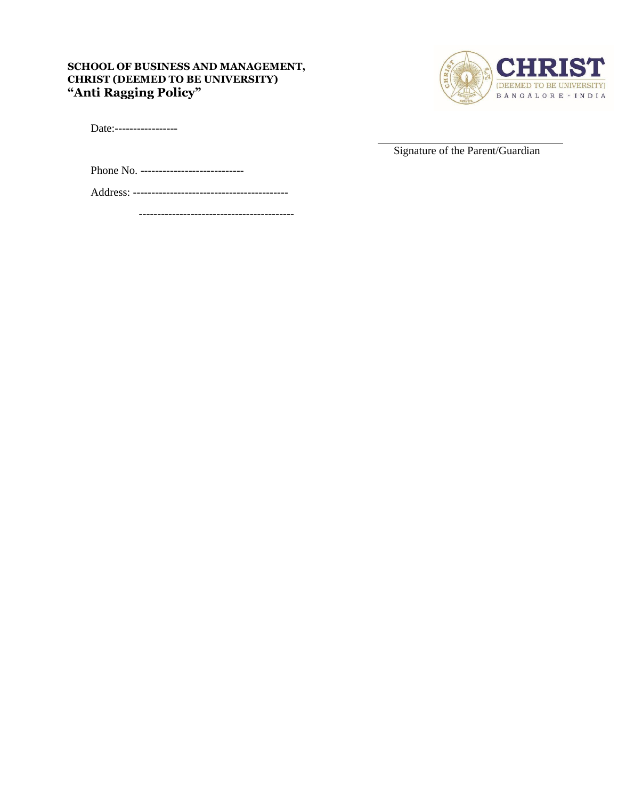

Date:------------------

Signature of the Parent/Guardian

Phone No. ----------------------------

Address: ------------------------------------------

------------------------------------------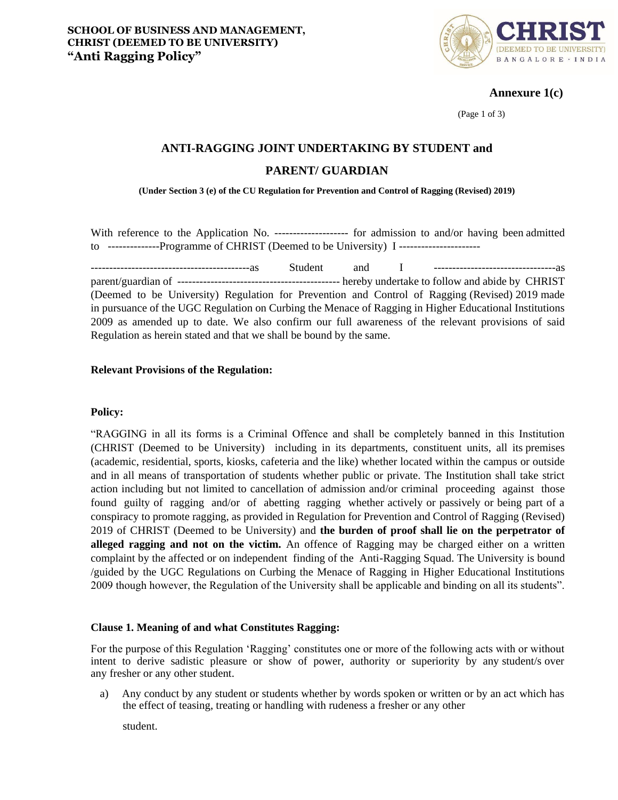

**Annexure 1(c)**

(Page 1 of 3)

# **ANTI-RAGGING JOINT UNDERTAKING BY STUDENT and**

# **PARENT/ GUARDIAN**

**(Under Section 3 (e) of the CU Regulation for Prevention and Control of Ragging (Revised) 2019)**

With reference to the Application No. --------------------- for admission to and/or having been admitted to --------------Programme of CHRIST (Deemed to be University) I ----------------------

-------------------------------------------as Student and I ---------------------------------as parent/guardian of -------------------------------------------- hereby undertake to follow and abide by CHRIST (Deemed to be University) Regulation for Prevention and Control of Ragging (Revised) 2019 made in pursuance of the UGC Regulation on Curbing the Menace of Ragging in Higher Educational Institutions 2009 as amended up to date. We also confirm our full awareness of the relevant provisions of said Regulation as herein stated and that we shall be bound by the same.

# **Relevant Provisions of the Regulation:**

#### **Policy:**

"RAGGING in all its forms is a Criminal Offence and shall be completely banned in this Institution (CHRIST (Deemed to be University) including in its departments, constituent units, all its premises (academic, residential, sports, kiosks, cafeteria and the like) whether located within the campus or outside and in all means of transportation of students whether public or private. The Institution shall take strict action including but not limited to cancellation of admission and/or criminal proceeding against those found guilty of ragging and/or of abetting ragging whether actively or passively or being part of a conspiracy to promote ragging, as provided in Regulation for Prevention and Control of Ragging (Revised) 2019 of CHRIST (Deemed to be University) and **the burden of proof shall lie on the perpetrator of alleged ragging and not on the victim.** An offence of Ragging may be charged either on a written complaint by the affected or on independent finding of the Anti-Ragging Squad. The University is bound /guided by the UGC Regulations on Curbing the Menace of Ragging in Higher Educational Institutions 2009 though however, the Regulation of the University shall be applicable and binding on all its students".

# **Clause 1. Meaning of and what Constitutes Ragging:**

For the purpose of this Regulation 'Ragging' constitutes one or more of the following acts with or without intent to derive sadistic pleasure or show of power, authority or superiority by any student/s over any fresher or any other student.

a) Any conduct by any student or students whether by words spoken or written or by an act which has the effect of teasing, treating or handling with rudeness a fresher or any other

student.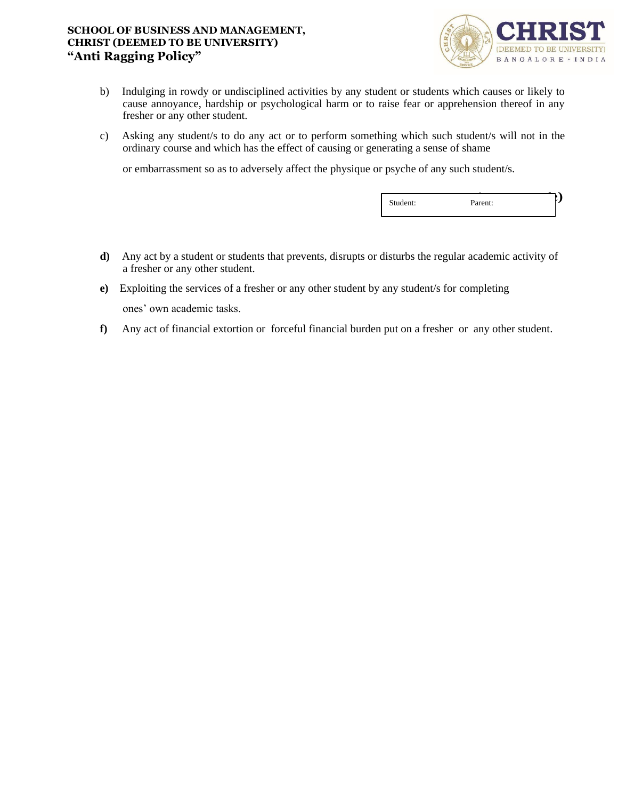

- b) Indulging in rowdy or undisciplined activities by any student or students which causes or likely to cause annoyance, hardship or psychological harm or to raise fear or apprehension thereof in any fresher or any other student.
- c) Asking any student/s to do any act or to perform something which such student/s will not in the ordinary course and which has the effect of causing or generating a sense of shame

or embarrassment so as to adversely affect the physique or psyche of any such student/s.

|--|

- **d)** Any act by a student or students that prevents, disrupts or disturbs the regular academic activity of a fresher or any other student.
- **e)** Exploiting the services of a fresher or any other student by any student/s for completing ones' own academic tasks.
- **f)** Any act of financial extortion or forceful financial burden put on a fresher or any other student.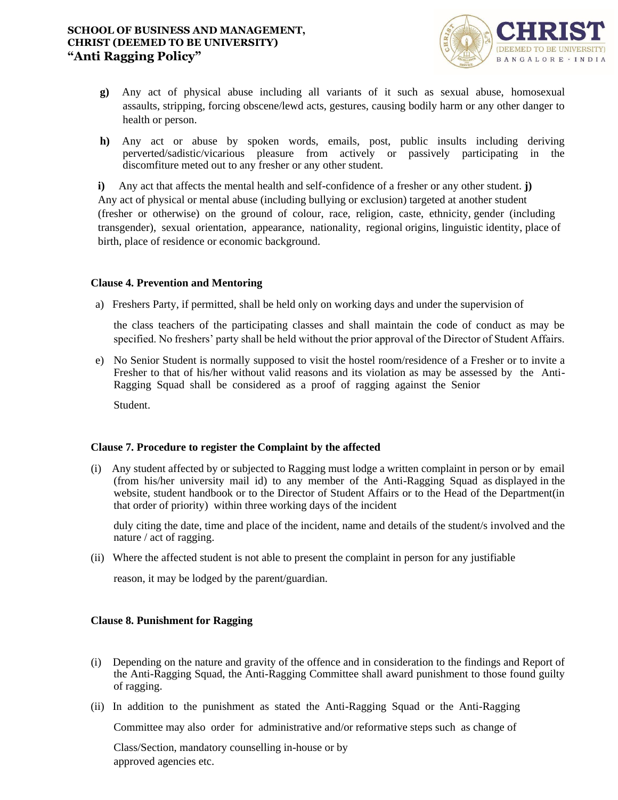

- **g)** Any act of physical abuse including all variants of it such as sexual abuse, homosexual assaults, stripping, forcing obscene/lewd acts, gestures, causing bodily harm or any other danger to health or person.
- **h)** Any act or abuse by spoken words, emails, post, public insults including deriving perverted/sadistic/vicarious pleasure from actively or passively participating in the discomfiture meted out to any fresher or any other student.

**i)** Any act that affects the mental health and self-confidence of a fresher or any other student. **j)**  Any act of physical or mental abuse (including bullying or exclusion) targeted at another student (fresher or otherwise) on the ground of colour, race, religion, caste, ethnicity, gender (including transgender), sexual orientation, appearance, nationality, regional origins, linguistic identity, place of birth, place of residence or economic background.

# **Clause 4. Prevention and Mentoring**

a) Freshers Party, if permitted, shall be held only on working days and under the supervision of

the class teachers of the participating classes and shall maintain the code of conduct as may be specified. No freshers' party shall be held without the prior approval of the Director of Student Affairs.

e) No Senior Student is normally supposed to visit the hostel room/residence of a Fresher or to invite a Fresher to that of his/her without valid reasons and its violation as may be assessed by the Anti-Ragging Squad shall be considered as a proof of ragging against the Senior

Student.

# **Clause 7. Procedure to register the Complaint by the affected**

(i) Any student affected by or subjected to Ragging must lodge a written complaint in person or by email (from his/her university mail id) to any member of the Anti-Ragging Squad as displayed in the website, student handbook or to the Director of Student Affairs or to the Head of the Department(in that order of priority) within three working days of the incident

duly citing the date, time and place of the incident, name and details of the student/s involved and the nature / act of ragging.

(ii) Where the affected student is not able to present the complaint in person for any justifiable

reason, it may be lodged by the parent/guardian.

# **Clause 8. Punishment for Ragging**

- (i) Depending on the nature and gravity of the offence and in consideration to the findings and Report of the Anti-Ragging Squad, the Anti-Ragging Committee shall award punishment to those found guilty of ragging.
- (ii) In addition to the punishment as stated the Anti-Ragging Squad or the Anti-Ragging

Committee may also order for administrative and/or reformative steps such as change of

Class/Section, mandatory counselling in-house or by approved agencies etc.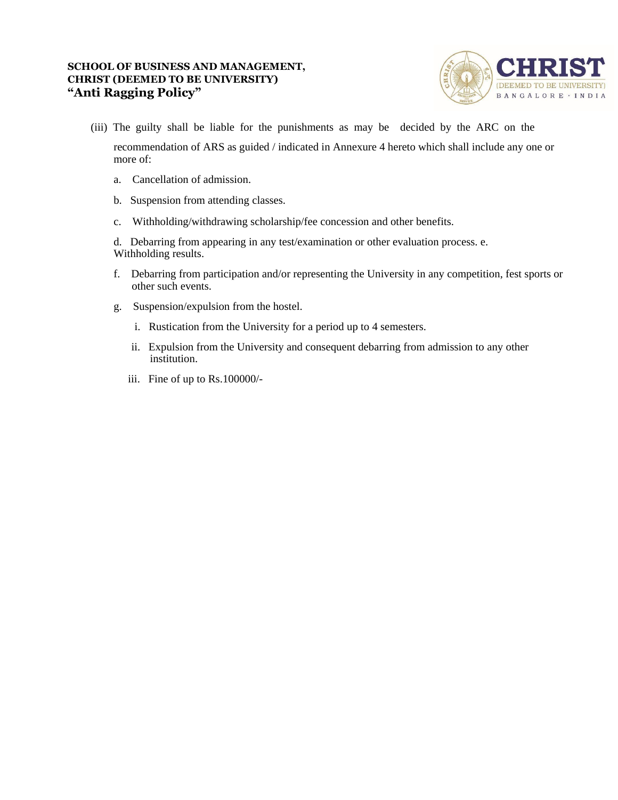

(iii) The guilty shall be liable for the punishments as may be decided by the ARC on the

recommendation of ARS as guided / indicated in Annexure 4 hereto which shall include any one or more of:

- a. Cancellation of admission.
- b. Suspension from attending classes.
- c. Withholding/withdrawing scholarship/fee concession and other benefits.

d. Debarring from appearing in any test/examination or other evaluation process. e. Withholding results.

- f. Debarring from participation and/or representing the University in any competition, fest sports or other such events.
- g. Suspension/expulsion from the hostel.
	- i. Rustication from the University for a period up to 4 semesters.
	- ii. Expulsion from the University and consequent debarring from admission to any other institution.
	- iii. Fine of up to Rs.100000/-